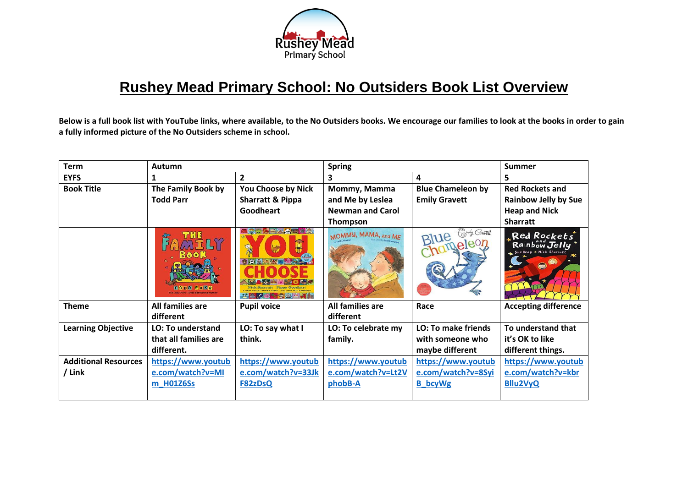

## **Rushey Mead Primary School: No Outsiders Book List Overview**

**Below is a full book list with YouTube links, where available, to the No Outsiders books. We encourage our families to look at the books in order to gain a fully informed picture of the No Outsiders scheme in school.** 

| <b>Term</b>                 | <b>Autumn</b>                                                                    |                                                                              | <b>Spring</b>           |                                | <b>Summer</b>                                              |
|-----------------------------|----------------------------------------------------------------------------------|------------------------------------------------------------------------------|-------------------------|--------------------------------|------------------------------------------------------------|
| <b>EYFS</b>                 |                                                                                  | $\overline{2}$                                                               | 3                       | 4                              | 5                                                          |
| <b>Book Title</b>           | The Family Book by                                                               | You Choose by Nick                                                           | Mommy, Mamma            | <b>Blue Chameleon by</b>       | <b>Red Rockets and</b>                                     |
|                             | <b>Todd Parr</b>                                                                 | <b>Sharratt &amp; Pippa</b>                                                  | and Me by Leslea        | <b>Emily Gravett</b>           | <b>Rainbow Jelly by Sue</b>                                |
|                             |                                                                                  | Goodheart                                                                    | <b>Newman and Carol</b> |                                | <b>Heap and Nick</b>                                       |
|                             |                                                                                  |                                                                              | Thompson                |                                | <b>Sharratt</b>                                            |
|                             | <b>MELY</b><br><b>BOOK</b><br>TOOD PARR<br>The New York Times Bastselling Author | <b>SEXARE</b><br><b>Nick Sharratt Pinna Goodhart</b><br><b>Replaced</b> Ave. | MOMMY, MAMA, and ME     | mily Gravett<br>Blue<br>meleon | "Red Rockets"<br>Rainbow Jelly<br>Sue Heap * Nick Sharratt |
| <b>Theme</b>                | All families are                                                                 | <b>Pupil voice</b>                                                           | All families are        | Race                           | <b>Accepting difference</b>                                |
|                             | different                                                                        |                                                                              | different               |                                |                                                            |
| <b>Learning Objective</b>   | <b>LO: To understand</b>                                                         | LO: To say what I                                                            | LO: To celebrate my     | <b>LO: To make friends</b>     | To understand that                                         |
|                             | that all families are                                                            | think.                                                                       | family.                 | with someone who               | it's OK to like                                            |
|                             | different.                                                                       |                                                                              |                         | maybe different                | different things.                                          |
| <b>Additional Resources</b> | https://www.youtub                                                               | https://www.youtub                                                           | https://www.youtub      | https://www.youtub             | https://www.youtub                                         |
| / Link                      | e.com/watch?v=MI                                                                 | e.com/watch?v=33Jk                                                           | e.com/watch?v=Lt2V      | e.com/watch?v=8Syi             | e.com/watch?v=kbr                                          |
|                             | m H01Z6Ss                                                                        | F82zDsQ                                                                      | phobB-A                 | <b>B</b> bcyWg                 | <b>Bllu2VyQ</b>                                            |
|                             |                                                                                  |                                                                              |                         |                                |                                                            |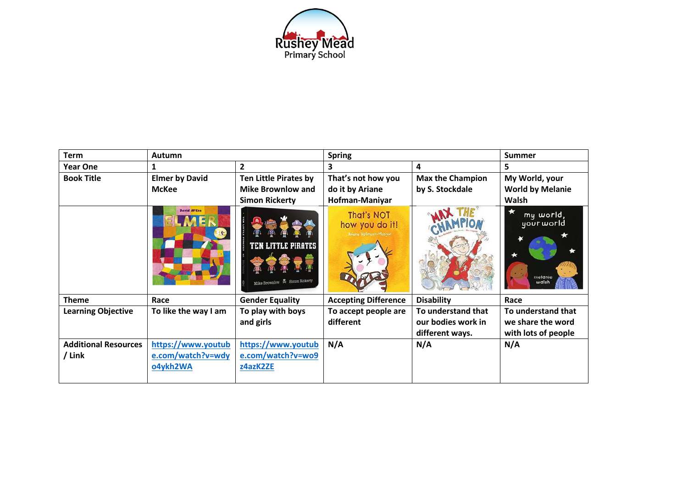

| <b>Term</b>                 | <b>Autumn</b>         |                                                             | <b>Spring</b>                                          |                         | <b>Summer</b>                               |
|-----------------------------|-----------------------|-------------------------------------------------------------|--------------------------------------------------------|-------------------------|---------------------------------------------|
| <b>Year One</b>             |                       | $\overline{2}$                                              | 3                                                      | 4                       | 5                                           |
| <b>Book Title</b>           | <b>Elmer by David</b> | <b>Ten Little Pirates by</b>                                | That's not how you                                     | <b>Max the Champion</b> | My World, your                              |
|                             | <b>McKee</b>          | Mike Brownlow and                                           | do it by Ariane                                        | by S. Stockdale         | <b>World by Melanie</b>                     |
|                             |                       | <b>Simon Rickerty</b>                                       | Hofman-Maniyar                                         |                         | Walsh                                       |
|                             | <b>David M'Kee</b>    | <b>TEN LITTLE PIRATES</b><br>Mike Brownlow & Simon Rickerty | That's NOT<br>how you do it!<br>Ariane Hofmann-Maniyan |                         | my world,<br>your world<br>melanie<br>walsh |
| <b>Theme</b>                | Race                  | <b>Gender Equality</b>                                      | <b>Accepting Difference</b>                            | <b>Disability</b>       | Race                                        |
| <b>Learning Objective</b>   | To like the way I am  | To play with boys                                           | To accept people are                                   | To understand that      | To understand that                          |
|                             |                       | and girls                                                   | different                                              | our bodies work in      | we share the word                           |
|                             |                       |                                                             |                                                        | different ways.         | with lots of people                         |
| <b>Additional Resources</b> | https://www.youtub    | https://www.youtub                                          | N/A                                                    | N/A                     | N/A                                         |
| / Link                      | e.com/watch?v=wdy     | e.com/watch?v=wo9                                           |                                                        |                         |                                             |
|                             | o4ykh2WA              | z4azK2ZE                                                    |                                                        |                         |                                             |
|                             |                       |                                                             |                                                        |                         |                                             |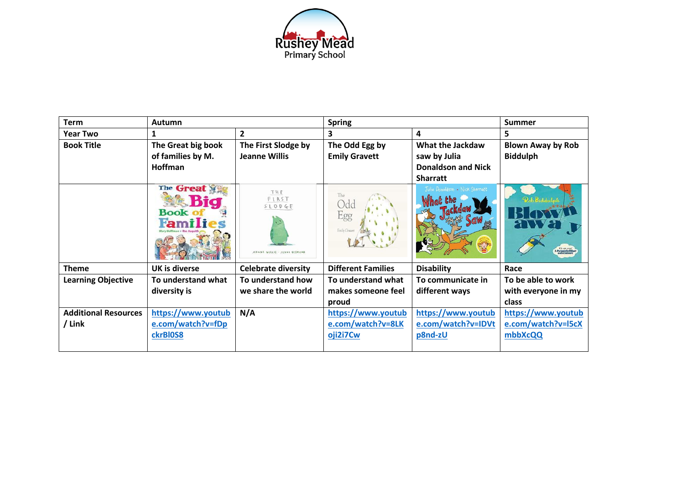

| <b>Term</b>                 | Autumn                                    |                                                  | <b>Spring</b>                      |                                 | <b>Summer</b>                               |
|-----------------------------|-------------------------------------------|--------------------------------------------------|------------------------------------|---------------------------------|---------------------------------------------|
| <b>Year Two</b>             |                                           | $\overline{2}$                                   | 3                                  | 4                               | 5                                           |
| <b>Book Title</b>           | The Great big book                        | The First Slodge by                              | The Odd Egg by                     | What the Jackdaw                | <b>Blown Away by Rob</b>                    |
|                             | of families by M.                         | Jeanne Willis                                    | <b>Emily Gravett</b>               | saw by Julia                    | <b>Biddulph</b>                             |
|                             | <b>Hoffman</b>                            |                                                  |                                    | <b>Donaldson and Nick</b>       |                                             |
|                             |                                           |                                                  |                                    | <b>Sharratt</b>                 |                                             |
|                             | The Great<br><b>Book</b><br><u>ramili</u> | THE<br>FIRST<br>SLODGE<br>WILLIS - JENNI DESMOND | The<br>Odc<br>Egg<br>Emily Gravett | Julia Donaldson • Nick Sharratt | Pob Biddulps<br>A Penguin Blue<br>adventure |
| <b>Theme</b>                | <b>UK is diverse</b>                      | <b>Celebrate diversity</b>                       | <b>Different Families</b>          | <b>Disability</b>               | Race                                        |
| <b>Learning Objective</b>   | To understand what                        | To understand how                                | To understand what                 | To communicate in               | To be able to work                          |
|                             | diversity is                              | we share the world                               | makes someone feel                 | different ways                  | with everyone in my                         |
|                             |                                           |                                                  | proud                              |                                 | class                                       |
| <b>Additional Resources</b> | https://www.youtub                        | N/A                                              | https://www.youtub                 | https://www.youtub              | https://www.youtub                          |
| / Link                      | e.com/watch?v=fDp                         |                                                  | e.com/watch?v=8LK                  | e.com/watch?v=IDVt              | e.com/watch?v=I5cX                          |
|                             | ckrBI0S8                                  |                                                  | oji2i7Cw                           | p8nd-zU                         | mbbXcQQ                                     |
|                             |                                           |                                                  |                                    |                                 |                                             |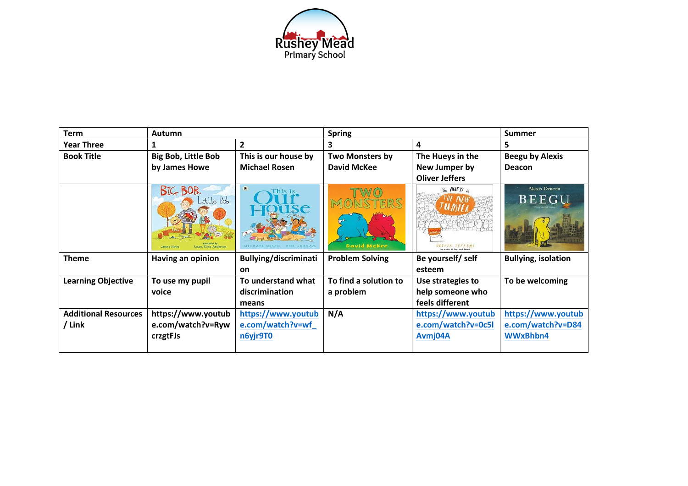

| <b>Term</b>                 | <b>Autumn</b>                                                      |                              | <b>Spring</b>          |                                        | <b>Summer</b>                        |
|-----------------------------|--------------------------------------------------------------------|------------------------------|------------------------|----------------------------------------|--------------------------------------|
| <b>Year Three</b>           |                                                                    | $\overline{2}$               | 3                      | 4                                      | 5                                    |
| <b>Book Title</b>           | <b>Big Bob, Little Bob</b>                                         | This is our house by         | Two Monsters by        | The Hueys in the                       | <b>Beegu by Alexis</b>               |
|                             | by James Howe                                                      | <b>Michael Rosen</b>         | David McKee            | New Jumper by                          | Deacon                               |
|                             |                                                                    |                              |                        | <b>Oliver Jeffers</b>                  |                                      |
|                             | BIG BOB.<br>Little Bob<br><b>James Howe</b><br>aura Ellen Anderson | 新<br>This Is                 | David McKee            | The HUIETS in<br><b>DEIVER JEFFERS</b> | <b>Alexis Deacon</b><br><b>BEEGU</b> |
| <b>Theme</b>                | Having an opinion                                                  | <b>Bullying/discriminati</b> | <b>Problem Solving</b> | Be yourself/ self                      | <b>Bullying, isolation</b>           |
|                             |                                                                    | on                           |                        | esteem                                 |                                      |
| <b>Learning Objective</b>   | To use my pupil                                                    | To understand what           | To find a solution to  | Use strategies to                      | To be welcoming                      |
|                             | voice                                                              | discrimination               | a problem              | help someone who                       |                                      |
|                             |                                                                    | means                        |                        | feels different                        |                                      |
| <b>Additional Resources</b> | https://www.youtub                                                 | https://www.youtub           | N/A                    | https://www.youtub                     | https://www.youtub                   |
| / Link                      | e.com/watch?v=Ryw                                                  | e.com/watch?v=wf             |                        | e.com/watch?v=0c5l                     | e.com/watch?v=D84                    |
|                             | crzgtFJs                                                           | n6yjr9T0                     |                        | Avmj04A                                | WWxBhbn4                             |
|                             |                                                                    |                              |                        |                                        |                                      |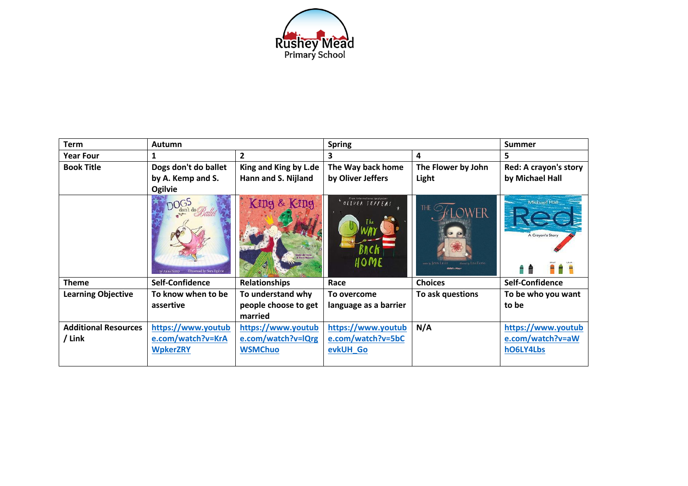

| <b>Term</b>                 | <b>Autumn</b>                                              |                                                | <b>Spring</b>                                                    |                       | <b>Summer</b>                           |
|-----------------------------|------------------------------------------------------------|------------------------------------------------|------------------------------------------------------------------|-----------------------|-----------------------------------------|
| <b>Year Four</b>            |                                                            | $\overline{2}$                                 | 3                                                                | 4                     | 5.                                      |
| <b>Book Title</b>           | Dogs don't do ballet                                       | King and King by L.de                          | The Way back home                                                | The Flower by John    | Red: A crayon's story                   |
|                             | by A. Kemp and S.                                          | Hann and S. Nijland                            | by Oliver Jeffers                                                | Light                 | by Michael Hall                         |
|                             | Ogilvie                                                    |                                                |                                                                  |                       |                                         |
|                             | <b>DOGS</b><br>Illustrated by Sara Ogilvie<br>by Anna Kemp | King & King<br>inda de Haan<br>3 Siern Niiland | From international bestseller<br>$OLIVERJEFFERS$<br>BACK<br>HOME | desired by LISA EVANS | <b>Michael Hall</b><br>A Crayon's Story |
| <b>Theme</b>                | Self-Confidence                                            | <b>Relationships</b>                           | Race                                                             | <b>Choices</b>        | Self-Confidence                         |
| <b>Learning Objective</b>   | To know when to be                                         | To understand why                              | To overcome                                                      | To ask questions      | To be who you want                      |
|                             | assertive                                                  | people choose to get                           | language as a barrier                                            |                       | to be                                   |
|                             |                                                            | married                                        |                                                                  |                       |                                         |
| <b>Additional Resources</b> | https://www.youtub                                         | https://www.youtub                             | https://www.youtub                                               | N/A                   | https://www.youtub                      |
| / Link                      | e.com/watch?v=KrA                                          | e.com/watch?v=lQrg                             | e.com/watch?v=5bC                                                |                       | e.com/watch?v=aW                        |
|                             | <b>WpkerZRY</b>                                            | <b>WSMChuo</b>                                 | evkUH Go                                                         |                       | hO6LY4Lbs                               |
|                             |                                                            |                                                |                                                                  |                       |                                         |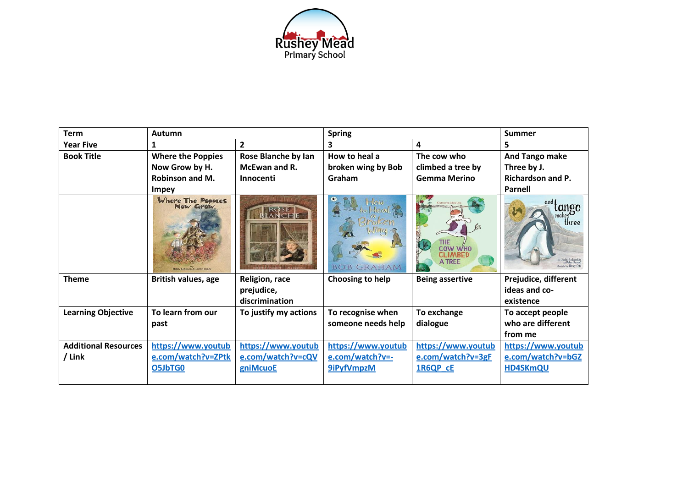

| <b>Term</b>                 | Autumn                                                                 |                       | <b>Spring</b>               |                                                   | <b>Summer</b>                                                       |
|-----------------------------|------------------------------------------------------------------------|-----------------------|-----------------------------|---------------------------------------------------|---------------------------------------------------------------------|
| <b>Year Five</b>            | $\mathbf{1}$                                                           | $\overline{2}$        | 3                           | 4                                                 | 5                                                                   |
| <b>Book Title</b>           | <b>Where the Poppies</b>                                               | Rose Blanche by Ian   | How to heal a               | The cow who                                       | <b>And Tango make</b>                                               |
|                             | Now Grow by H.                                                         | McEwan and R.         | broken wing by Bob          | climbed a tree by                                 | Three by J.                                                         |
|                             | <b>Robinson and M.</b>                                                 | Innocenti             | Graham                      | <b>Gemma Merino</b>                               | <b>Richardson and P.</b>                                            |
|                             | <b>Impey</b>                                                           |                       |                             |                                                   | <b>Parnell</b>                                                      |
|                             | Where The Poppies<br><b>New Grew</b><br>Hilary Robinson & Martin Impey |                       | <b>GRAHAM</b><br><b>BOB</b> | THE<br>COW WHO<br><b>CLIMBED</b><br><b>A TREE</b> | and 1<br>lango<br>makes<br>three<br><b>Australied by Henry Colo</b> |
| <b>Theme</b>                | British values, age                                                    | Religion, race        | Choosing to help            | <b>Being assertive</b>                            | Prejudice, different                                                |
|                             |                                                                        | prejudice,            |                             |                                                   | ideas and co-                                                       |
|                             |                                                                        | discrimination        |                             |                                                   | existence                                                           |
| <b>Learning Objective</b>   | To learn from our                                                      | To justify my actions | To recognise when           | To exchange                                       | To accept people                                                    |
|                             | past                                                                   |                       | someone needs help          | dialogue                                          | who are different                                                   |
|                             |                                                                        |                       |                             |                                                   | from me                                                             |
| <b>Additional Resources</b> | https://www.youtub                                                     | https://www.youtub    | https://www.youtub          | https://www.youtub                                | https://www.youtub                                                  |
| / Link                      | e.com/watch?v=ZPtk                                                     | e.com/watch?v=cQV     | e.com/watch?v=-             | e.com/watch?v=3gF                                 | e.com/watch?v=bGZ                                                   |
|                             | O5JbTG0                                                                | gniMcuoE              | 9iPyfVmpzM                  | 1R6QP_cE                                          | <b>HD4SKmQU</b>                                                     |
|                             |                                                                        |                       |                             |                                                   |                                                                     |